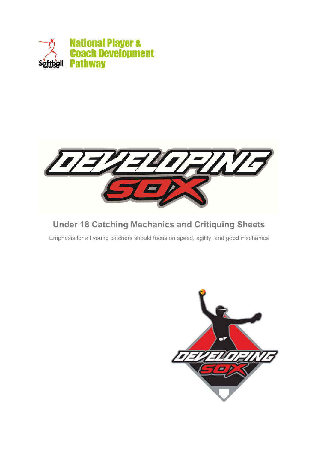



## **Under 18 Catching Mechanics and Critiquing Sheets**

Emphasis for all young catchers should focus on speed, agility, and good mechanics

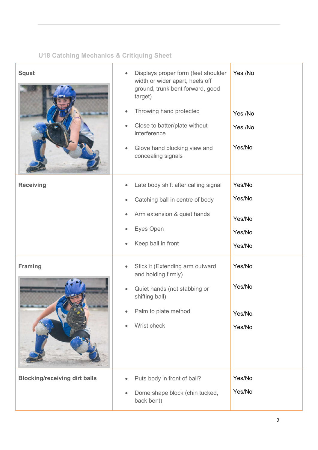## **U18 Catching Mechanics & Critiquing Sheet**

| <b>Squat</b>                         | Displays proper form (feet shoulder<br>$\bullet$<br>width or wider apart, heels off<br>ground, trunk bent forward, good<br>target)<br>Throwing hand protected<br>$\bullet$<br>Close to batter/plate without<br>٠<br>interference<br>Glove hand blocking view and<br>$\bullet$<br>concealing signals | Yes /No<br>Yes /No<br>Yes /No<br>Yes/No        |
|--------------------------------------|-----------------------------------------------------------------------------------------------------------------------------------------------------------------------------------------------------------------------------------------------------------------------------------------------------|------------------------------------------------|
| <b>Receiving</b>                     | Late body shift after calling signal<br>Catching ball in centre of body<br>Arm extension & quiet hands<br>Eyes Open<br>Keep ball in front                                                                                                                                                           | Yes/No<br>Yes/No<br>Yes/No<br>Yes/No<br>Yes/No |
| <b>Framing</b>                       | Stick it (Extending arm outward<br>and holding firmly)<br>Quiet hands (not stabbing or<br>shifting ball)<br>Palm to plate method<br>$\bullet$<br>Wrist check                                                                                                                                        | Yes/No<br>Yes/No<br>Yes/No<br>Yes/No           |
| <b>Blocking/receiving dirt balls</b> | Puts body in front of ball?<br>۰<br>Dome shape block (chin tucked,<br>$\bullet$<br>back bent)                                                                                                                                                                                                       | Yes/No<br>Yes/No                               |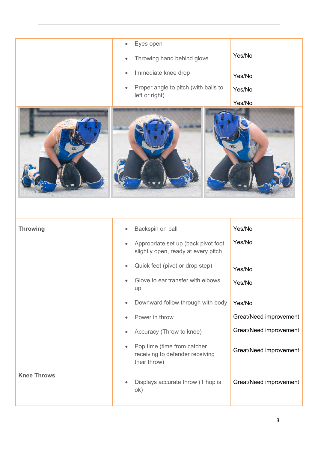|                    | Eyes open<br>Throwing hand behind glove<br>$\bullet$<br>Immediate knee drop<br>$\bullet$<br>Proper angle to pitch (with balls to<br>٠<br>left or right)                                                                                                                                                                                                                                            | Yes/No<br>Yes/No<br>Yes/No<br>Yes/No                                                                                         |
|--------------------|----------------------------------------------------------------------------------------------------------------------------------------------------------------------------------------------------------------------------------------------------------------------------------------------------------------------------------------------------------------------------------------------------|------------------------------------------------------------------------------------------------------------------------------|
| <b>Throwing</b>    | Backspin on ball<br>$\bullet$<br>Appropriate set up (back pivot foot<br>slightly open, ready at every pitch<br>Quick feet (pivot or drop step)<br>Glove to ear transfer with elbows<br>up<br>Downward follow through with body<br>$\bullet$<br>Power in throw<br>٠<br>Accuracy (Throw to knee)<br>٠<br>Pop time (time from catcher<br>$\bullet$<br>receiving to defender receiving<br>their throw) | Yes/No<br>Yes/No<br>Yes/No<br>Yes/No<br>Yes/No<br>Great/Need improvement<br>Great/Need improvement<br>Great/Need improvement |
| <b>Knee Throws</b> | Displays accurate throw (1 hop is<br>ok)                                                                                                                                                                                                                                                                                                                                                           | Great/Need improvement                                                                                                       |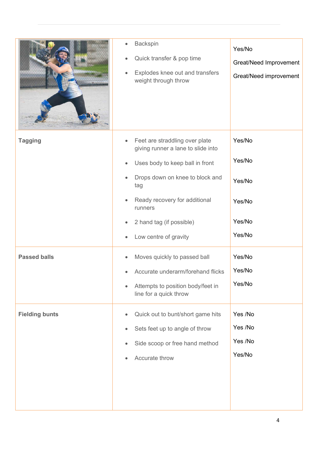|                       | <b>Backspin</b><br>$\bullet$<br>Quick transfer & pop time<br>۰<br>Explodes knee out and transfers<br>weight through throw                                                                                                                                       | Yes/No<br>Great/Need Improvement<br>Great/Need improvement |
|-----------------------|-----------------------------------------------------------------------------------------------------------------------------------------------------------------------------------------------------------------------------------------------------------------|------------------------------------------------------------|
| <b>Tagging</b>        | Feet are straddling over plate<br>$\bullet$<br>giving runner a lane to slide into<br>Uses body to keep ball in front<br>Drops down on knee to block and<br>tag<br>Ready recovery for additional<br>runners<br>2 hand tag (if possible)<br>Low centre of gravity | Yes/No<br>Yes/No<br>Yes/No<br>Yes/No<br>Yes/No<br>Yes/No   |
| <b>Passed balls</b>   | Moves quickly to passed ball<br>Accurate underarm/forehand flicks<br>Attempts to position body/feet in<br>line for a quick throw                                                                                                                                | Yes/No<br>Yes/No<br>Yes/No                                 |
| <b>Fielding bunts</b> | Quick out to bunt/short game hits<br>$\bullet$<br>Sets feet up to angle of throw<br>Side scoop or free hand method<br>۰<br>Accurate throw                                                                                                                       | Yes /No<br>Yes /No<br>Yes /No<br>Yes/No                    |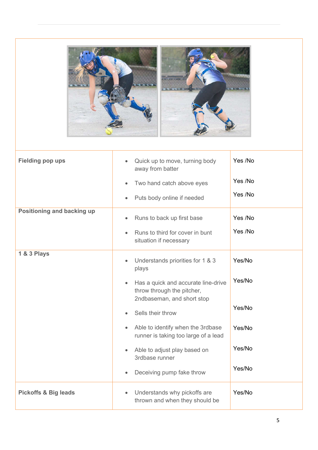

| <b>Fielding pop ups</b>         | Quick up to move, turning body<br>$\bullet$<br>away from batter                                              | Yes /No |
|---------------------------------|--------------------------------------------------------------------------------------------------------------|---------|
|                                 | Two hand catch above eyes<br>$\bullet$                                                                       | Yes /No |
|                                 | Puts body online if needed                                                                                   | Yes /No |
| Positioning and backing up      | Runs to back up first base<br>$\bullet$                                                                      | Yes /No |
|                                 | Runs to third for cover in bunt<br>situation if necessary                                                    | Yes /No |
| <b>1 &amp; 3 Plays</b>          | Understands priorities for 1 & 3<br>$\bullet$<br>plays                                                       | Yes/No  |
|                                 | Has a quick and accurate line-drive<br>$\bullet$<br>throw through the pitcher,<br>2ndbaseman, and short stop | Yes/No  |
|                                 | Sells their throw                                                                                            | Yes/No  |
|                                 | Able to identify when the 3rdbase<br>$\bullet$<br>runner is taking too large of a lead                       | Yes/No  |
|                                 | Able to adjust play based on<br>$\bullet$<br>3rdbase runner                                                  | Yes/No  |
|                                 | Deceiving pump fake throw<br>$\bullet$                                                                       | Yes/No  |
| <b>Pickoffs &amp; Big leads</b> | Understands why pickoffs are<br>$\bullet$<br>thrown and when they should be                                  | Yes/No  |